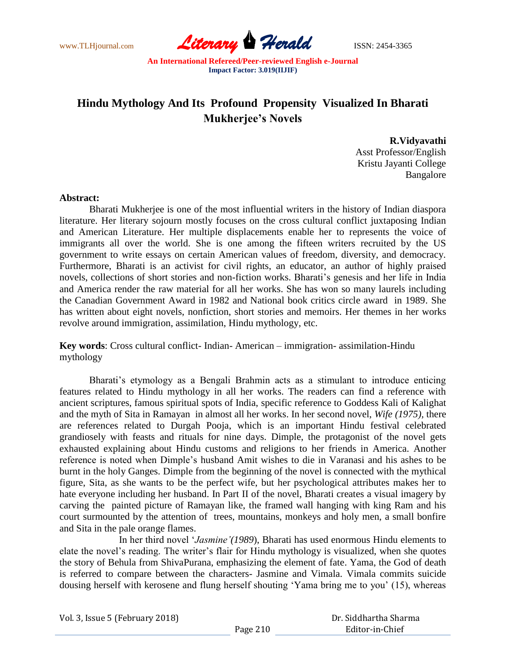

## **Hindu Mythology And Its Profound Propensity Visualized In Bharati Mukherjee's Novels**

**R.Vidyavathi** Asst Professor/English Kristu Jayanti College Bangalore

## **Abstract:**

Bharati Mukherjee is one of the most influential writers in the history of Indian diaspora literature. Her literary sojourn mostly focuses on the cross cultural conflict juxtaposing Indian and American Literature. Her multiple displacements enable her to represents the voice of immigrants all over the world. She is one among the fifteen writers recruited by the US government to write essays on certain American values of freedom, diversity, and democracy. Furthermore, Bharati is an activist for civil rights, an educator, an author of highly praised novels, collections of short stories and non-fiction works. Bharati"s genesis and her life in India and America render the raw material for all her works. She has won so many laurels including the Canadian Government Award in 1982 and National book critics circle award in 1989. She has written about eight novels, nonfiction, short stories and memoirs. Her themes in her works revolve around immigration, assimilation, Hindu mythology, etc.

**Key words**: Cross cultural conflict- Indian- American – immigration- assimilation-Hindu mythology

Bharati's etymology as a Bengali Brahmin acts as a stimulant to introduce enticing features related to Hindu mythology in all her works. The readers can find a reference with ancient scriptures, famous spiritual spots of India, specific reference to Goddess Kali of Kalighat and the myth of Sita in Ramayan in almost all her works. In her second novel, *Wife (1975),* there are references related to Durgah Pooja, which is an important Hindu festival celebrated grandiosely with feasts and rituals for nine days. Dimple, the protagonist of the novel gets exhausted explaining about Hindu customs and religions to her friends in America. Another reference is noted when Dimple"s husband Amit wishes to die in Varanasi and his ashes to be burnt in the holy Ganges. Dimple from the beginning of the novel is connected with the mythical figure, Sita, as she wants to be the perfect wife, but her psychological attributes makes her to hate everyone including her husband. In Part II of the novel, Bharati creates a visual imagery by carving the painted picture of Ramayan like, the framed wall hanging with king Ram and his court surmounted by the attention of trees, mountains, monkeys and holy men, a small bonfire and Sita in the pale orange flames.

In her third novel "*Jasmine'(1989*), Bharati has used enormous Hindu elements to elate the novel"s reading. The writer"s flair for Hindu mythology is visualized, when she quotes the story of Behula from ShivaPurana, emphasizing the element of fate. Yama, the God of death is referred to compare between the characters- Jasmine and Vimala. Vimala commits suicide dousing herself with kerosene and flung herself shouting "Yama bring me to you" (15), whereas

| Vol. 3, Issue 5 (February 2018) |  |  |
|---------------------------------|--|--|
|---------------------------------|--|--|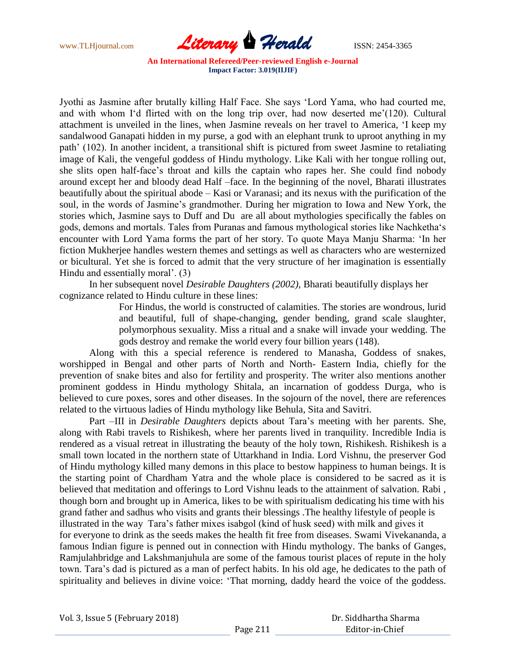

Jyothi as Jasmine after brutally killing Half Face. She says "Lord Yama, who had courted me, and with whom I'd flirted with on the long trip over, had now deserted me'(120). Cultural attachment is unveiled in the lines, when Jasmine reveals on her travel to America, "I keep my sandalwood Ganapati hidden in my purse, a god with an elephant trunk to uproot anything in my path' (102). In another incident, a transitional shift is pictured from sweet Jasmine to retaliating image of Kali, the vengeful goddess of Hindu mythology. Like Kali with her tongue rolling out, she slits open half-face's throat and kills the captain who rapes her. She could find nobody around except her and bloody dead Half –face. In the beginning of the novel, Bharati illustrates beautifully about the spiritual abode – Kasi or Varanasi; and its nexus with the purification of the soul, in the words of Jasmine's grandmother. During her migration to Iowa and New York, the stories which, Jasmine says to Duff and Du are all about mythologies specifically the fables on gods, demons and mortals. Tales from Puranas and famous mythological stories like Nachketha"s encounter with Lord Yama forms the part of her story. To quote Maya Manju Sharma: "In her fiction Mukherjee handles western themes and settings as well as characters who are westernized or bicultural. Yet she is forced to admit that the very structure of her imagination is essentially Hindu and essentially moral'. (3)

In her subsequent novel *Desirable Daughters (2002),* Bharati beautifully displays her cognizance related to Hindu culture in these lines:

> For Hindus, the world is constructed of calamities. The stories are wondrous, lurid and beautiful, full of shape-changing, gender bending, grand scale slaughter, polymorphous sexuality. Miss a ritual and a snake will invade your wedding. The gods destroy and remake the world every four billion years (148).

Along with this a special reference is rendered to Manasha, Goddess of snakes, worshipped in Bengal and other parts of North and North- Eastern India, chiefly for the prevention of snake bites and also for fertility and prosperity. The writer also mentions another prominent goddess in Hindu mythology Shitala, an incarnation of goddess Durga, who is believed to cure poxes, sores and other diseases. In the sojourn of the novel, there are references related to the virtuous ladies of Hindu mythology like Behula, Sita and Savitri.

Part –III in *Desirable Daughters* depicts about Tara"s meeting with her parents. She, along with Rabi travels to Rishikesh, where her parents lived in tranquility. Incredible India is rendered as a visual retreat in illustrating the beauty of the holy town, Rishikesh. Rishikesh is a small town located in the northern state of Uttarkhand in India. Lord Vishnu, the preserver God of Hindu mythology killed many demons in this place to bestow happiness to human beings. It is the starting point of Chardham Yatra and the whole place is considered to be sacred as it is believed that meditation and offerings to Lord Vishnu leads to the attainment of salvation. Rabi , though born and brought up in America, likes to be with spiritualism dedicating his time with his grand father and sadhus who visits and grants their blessings .The healthy lifestyle of people is illustrated in the way Tara"s father mixes isabgol (kind of husk seed) with milk and gives it for everyone to drink as the seeds makes the health fit free from diseases. Swami Vivekananda, a famous Indian figure is penned out in connection with Hindu mythology. The banks of Ganges, Ramjulahbridge and Lakshmanjuhula are some of the famous tourist places of repute in the holy town. Tara"s dad is pictured as a man of perfect habits. In his old age, he dedicates to the path of spirituality and believes in divine voice: "That morning, daddy heard the voice of the goddess.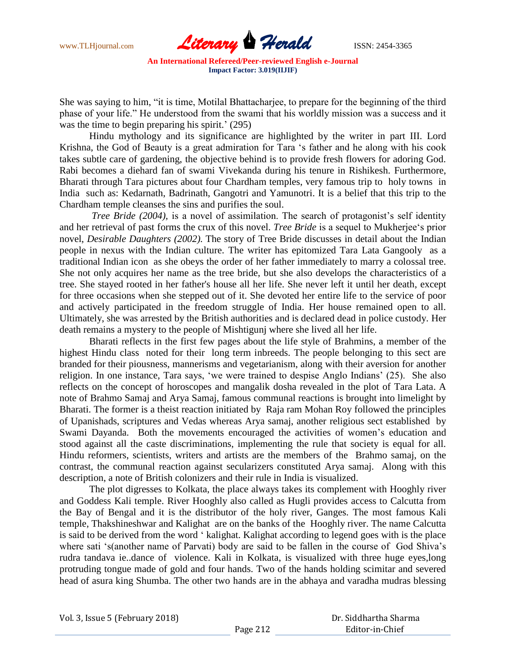

She was saying to him, "it is time, Motilal Bhattacharjee, to prepare for the beginning of the third phase of your life." He understood from the swami that his worldly mission was a success and it was the time to begin preparing his spirit.'  $(295)$ 

Hindu mythology and its significance are highlighted by the writer in part III. Lord Krishna, the God of Beauty is a great admiration for Tara "s father and he along with his cook takes subtle care of gardening, the objective behind is to provide fresh flowers for adoring God. Rabi becomes a diehard fan of swami Vivekanda during his tenure in Rishikesh. Furthermore, Bharati through Tara pictures about four Chardham temples, very famous trip to holy towns in India such as: Kedarnath, Badrinath, Gangotri and Yamunotri. It is a belief that this trip to the Chardham temple cleanses the sins and purifies the soul.

*Tree Bride (2004)*, is a novel of assimilation. The search of protagonist's self identity and her retrieval of past forms the crux of this novel. *Tree Bride* is a sequel to Mukherjee"s prior novel, *Desirable Daughters (2002).* The story of Tree Bride discusses in detail about the Indian people in nexus with the Indian culture. The writer has epitomized Tara Lata Gangooly as a traditional Indian icon as she obeys the order of her father immediately to marry a colossal tree. She not only acquires her name as the tree bride, but she also develops the characteristics of a tree. She stayed rooted in her father's house all her life. She never left it until her death, except for three occasions when she stepped out of it. She devoted her entire life to the service of poor and actively participated in the freedom struggle of India. Her house remained open to all. Ultimately, she was arrested by the British authorities and is declared dead in police custody. Her death remains a mystery to the people of Mishtigunj where she lived all her life.

Bharati reflects in the first few pages about the life style of Brahmins, a member of the highest Hindu class noted for their long term inbreeds. The people belonging to this sect are branded for their piousness, mannerisms and vegetarianism, along with their aversion for another religion. In one instance, Tara says, "we were trained to despise Anglo Indians" (25). She also reflects on the concept of horoscopes and mangalik dosha revealed in the plot of Tara Lata. A note of Brahmo Samaj and Arya Samaj, famous communal reactions is brought into limelight by Bharati. The former is a theist reaction initiated by Raja ram Mohan Roy followed the principles of Upanishads, scriptures and Vedas whereas Arya samaj, another religious sect established by Swami Dayanda. Both the movements encouraged the activities of women"s education and stood against all the caste discriminations, implementing the rule that society is equal for all. Hindu reformers, scientists, writers and artists are the members of the Brahmo samaj, on the contrast, the communal reaction against secularizers constituted Arya samaj. Along with this description, a note of British colonizers and their rule in India is visualized.

The plot digresses to Kolkata, the place always takes its complement with Hooghly river and Goddess Kali temple. River Hooghly also called as Hugli provides access to Calcutta from the Bay of Bengal and it is the distributor of the holy river, Ganges. The most famous Kali temple, Thakshineshwar and Kalighat are on the banks of the Hooghly river. The name Calcutta is said to be derived from the word " kalighat. Kalighat according to legend goes with is the place where sati 's(another name of Parvati) body are said to be fallen in the course of God Shiva's rudra tandava ie..dance of violence. Kali in Kolkata, is visualized with three huge eyes,long protruding tongue made of gold and four hands. Two of the hands holding scimitar and severed head of asura king Shumba. The other two hands are in the abhaya and varadha mudras blessing